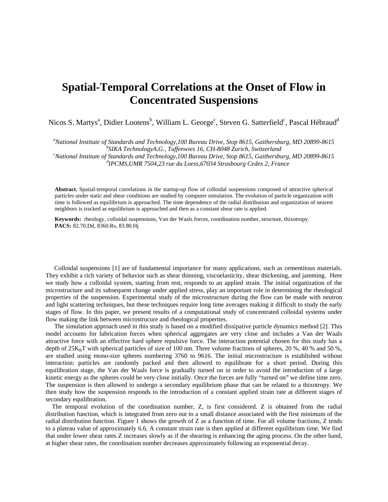## **Spatial-Temporal Correlations at the Onset of Flow in Concentrated Suspensions**

Nicos S. Martys<sup>a</sup>, Didier Lootens<sup>b</sup>, William L. George<sup>c</sup>, Steven G. Satterfield<sup>c</sup>, Pascal Hébraud<sup>d</sup>

<sup>a</sup> National Institute of Standards and Technology,100 Bureau Drive, Stop 8615, Gaithersburg, MD 20899-8615 *b* SUCA Technology C. Tuffanyise 16 CH 8048 Zurich Switzgrand *SIKA TechnologyA.G., Tuffenwies 16, CH-8048 Zurich, Switzerland c*

*National Institute of Standards and Technology,100 Bureau Drive, Stop 8615, Gaithersburg, MD 20899-8615 dIPCMS,UMR 7504,23 rue du Loess,67034 Strasbourg Cedex 2, France* 

**Abstract.** Spatial-temporal correlations in the startup-up flow of colloidal suspensions composed of attractive spherical particles under static and shear conditions are studied by computer simulation. The evolution of particle organization with time is followed as equilibrium is approached. The time dependence of the radial distribution and organization of nearest neighbors is tracked as equilibrium is approached and then as a constant shear rate is applied.

**Keywords:** rheology, colloidal suspensions, Van der Waals forces, coordination number, structure, thixotropy. **PACS:** 82.70.Dd, 8360.Rs, 83.80.Hj

Colloidal suspensions [1] are of fundamental importance for many applications, such as cementitous materials. They exhibit a rich variety of behavior such as shear thinning, viscoelasticity, shear thickening, and jamming. Here we study how a colloidal system, starting from rest, responds to an applied strain. The initial organization of the microstructure and its subsequent change under applied stress, play an important role in determining the rheological properties of the suspension. Experimental study of the microstructure during the flow can be made with neutron and light scattering techniques, but these techniques require long time averages making it difficult to study the early stages of flow. In this paper, we present results of a computational study of concentrated colloidal systems under flow making the link between microstrucure and rheological properties.

The simulation approach used in this study is based on a modified dissipative particle dynamics method [2]. This model accounts for lubrication forces when spherical aggregates are very close and includes a Van der Waals attractive force with an effective hard sphere repulsive force. The interaction potential chosen for this study has a depth of  $25K_BT$  with spherical particles of size of 100 nm. Three volume fractions of spheres, 20 %, 40 % and 50 %, are studied using mono-size spheres numbering 3760 to 9616. The initial microstructure is established without interaction: particles are randomly packed and then allowed to equilibrate for a short period. During this equilibration stage, the Van der Waals force is gradually turned on in order to avoid the introduction of a large kinetic energy as the spheres could be very close initially. Once the forces are fully "turned on" we define time zero. The suspension is then allowed to undergo a secondary equilibrium phase that can be related to a thixotropy. We then study how the suspension responds to the introduction of a constant applied strain rate at different stages of secondary equilibration.

 The temporal evolution of the coordination number, Z, is first considered. Z is obtained from the radial distribution function, which is integrated from zero out to a small distance associated with the first minimum of the radial distribution function. Figure 1 shows the growth of Z as a function of time. For all volume fractions, Z tends to a plateau value of approximately 6.6. A constant strain rate is then applied at different equilibrium time. We find that under lower shear rates Z increases slowly as if the shearing is enhancing the aging process. On the other hand, at higher shear rates, the coordination number decreases approximately following an exponential decay.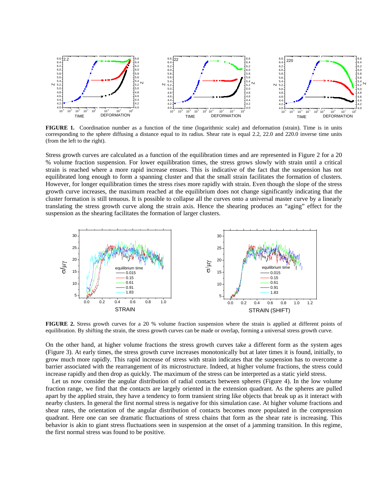

**FIGURE 1.** Coordination number as a function of the time (logarithmic scale) and deformation (strain). Time is in units corresponding to the sphere diffusing a distance equal to its radius. Shear rate is equal 2.2, 22.0 and 220.0 inverse time units (from the left to the right).

Stress growth curves are calculated as a function of the equilibration times and are represented in Figure 2 for a 20 % volume fraction suspension. For lower equilibration times, the stress grows slowly with strain until a critical strain is reached where a more rapid increase ensues. This is indicative of the fact that the suspension has not equilibrated long enough to form a spanning cluster and that the small strain facilitates the formation of clusters. However, for longer equilibration times the stress rises more rapidly with strain. Even though the slope of the stress growth curve increases, the maximum reached at the equilibrium does not change significantly indicating that the cluster formation is still tenuous. It is possible to collapse all the curves onto a universal master curve by a linearly translating the stress growth curve along the strain axis. Hence the shearing produces an "aging" effect for the suspension as the shearing facilitates the formation of larger clusters.



**FIGURE 2.** Stress growth curves for a 20 % volume fraction suspension where the strain is applied at different points of equilibration. By shifting the strain, the stress growth curves can be made or overlap, forming a universal stress growth curve.

On the other hand, at higher volume fractions the stress growth curves take a different form as the system ages (Figure 3). At early times, the stress growth curve increases monotonically but at later times it is found, initially, to grow much more rapidly. This rapid increase of stress with strain indicates that the suspension has to overcome a barrier associated with the rearrangement of its microstructure. Indeed, at higher volume fractions, the stress could increase rapidly and then drop as quickly. The maximum of the stress can be interpreted as a static yield stress.

Let us now consider the angular distribution of radial contacts between spheres (Figure 4). In the low volume fraction range, we find that the contacts are largely oriented in the extension quadrant. As the spheres are pulled apart by the applied strain, they have a tendency to form transient string like objects that break up as it interact with nearby clusters. In general the first normal stress is negative for this simulation case. At higher volume fractions and shear rates, the orientation of the angular distribution of contacts becomes more populated in the compression quadrant. Here one can see dramatic fluctuations of stress chains that form as the shear rate is increasing. This behavior is akin to giant stress fluctuations seen in suspension at the onset of a jamming transition. In this regime, the first normal stress was found to be positive.